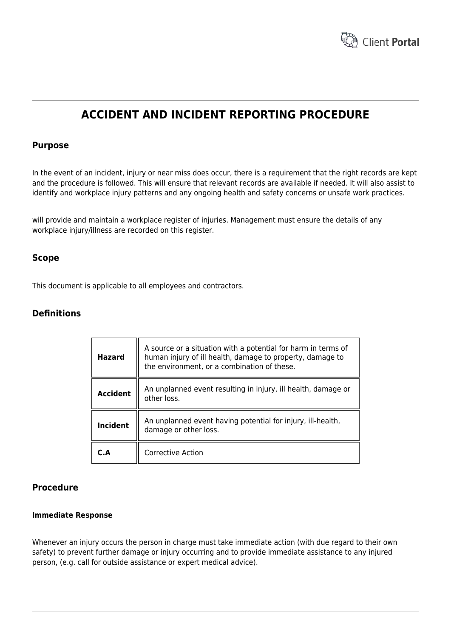

# **ACCIDENT AND INCIDENT REPORTING PROCEDURE**

### **Purpose**

In the event of an incident, injury or near miss does occur, there is a requirement that the right records are kept and the procedure is followed. This will ensure that relevant records are available if needed. It will also assist to identify and workplace injury patterns and any ongoing health and safety concerns or unsafe work practices.

will provide and maintain a workplace register of injuries. Management must ensure the details of any workplace injury/illness are recorded on this register.

### **Scope**

This document is applicable to all employees and contractors.

### **Definitions**

| <b>Hazard</b>   | A source or a situation with a potential for harm in terms of<br>human injury of ill health, damage to property, damage to<br>the environment, or a combination of these. |
|-----------------|---------------------------------------------------------------------------------------------------------------------------------------------------------------------------|
| <b>Accident</b> | An unplanned event resulting in injury, ill health, damage or<br>other loss.                                                                                              |
| <b>Incident</b> | An unplanned event having potential for injury, ill-health,<br>damage or other loss.                                                                                      |
| C.A             | <b>Corrective Action</b>                                                                                                                                                  |

### **Procedure**

#### **Immediate Response**

Whenever an injury occurs the person in charge must take immediate action (with due regard to their own safety) to prevent further damage or injury occurring and to provide immediate assistance to any injured person, (e.g. call for outside assistance or expert medical advice).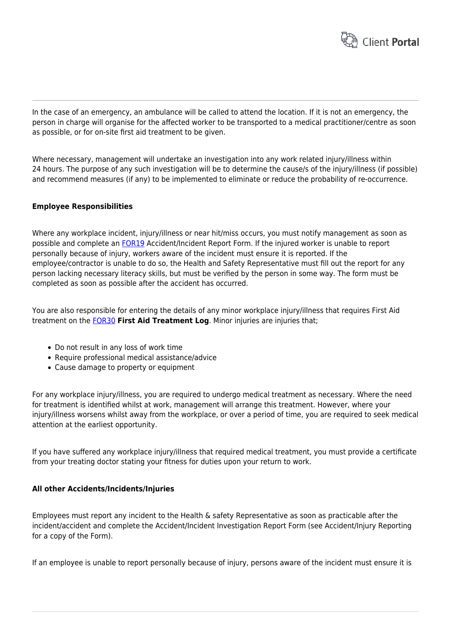

In the case of an emergency, an ambulance will be called to attend the location. If it is not an emergency, the person in charge will organise for the affected worker to be transported to a medical practitioner/centre as soon as possible, or for on-site first aid treatment to be given.

Where necessary, management will undertake an investigation into any work related injury/illness within 24 hours. The purpose of any such investigation will be to determine the cause/s of the injury/illness (if possible) and recommend measures (if any) to be implemented to eliminate or reduce the probability of re-occurrence.

#### **Employee Responsibilities**

Where any workplace incident, injury/illness or near hit/miss occurs, you must notify management as soon as possible and complete an [FOR19](https://www.hrtemplates.com.au/form_templates/hr-for19-accident-incident-form/) Accident/Incident Report Form. If the injured worker is unable to report personally because of injury, workers aware of the incident must ensure it is reported. If the employee/contractor is unable to do so, the Health and Safety Representative must fill out the report for any person lacking necessary literacy skills, but must be verified by the person in some way. The form must be completed as soon as possible after the accident has occurred.

You are also responsible for entering the details of any minor workplace injury/illness that requires First Aid treatment on the [FOR30](https://www.hrtemplates.com.au/form_templates/hr-for30-working-from-home-checklist/) **First Aid Treatment Log**. Minor injuries are injuries that;

- Do not result in any loss of work time
- Require professional medical assistance/advice
- Cause damage to property or equipment

For any workplace injury/illness, you are required to undergo medical treatment as necessary. Where the need for treatment is identified whilst at work, management will arrange this treatment. However, where your injury/illness worsens whilst away from the workplace, or over a period of time, you are required to seek medical attention at the earliest opportunity.

If you have suffered any workplace injury/illness that required medical treatment, you must provide a certificate from your treating doctor stating your fitness for duties upon your return to work.

#### **All other Accidents/Incidents/Injuries**

Employees must report any incident to the Health & safety Representative as soon as practicable after the incident/accident and complete the Accident/Incident Investigation Report Form (see Accident/Injury Reporting for a copy of the Form).

If an employee is unable to report personally because of injury, persons aware of the incident must ensure it is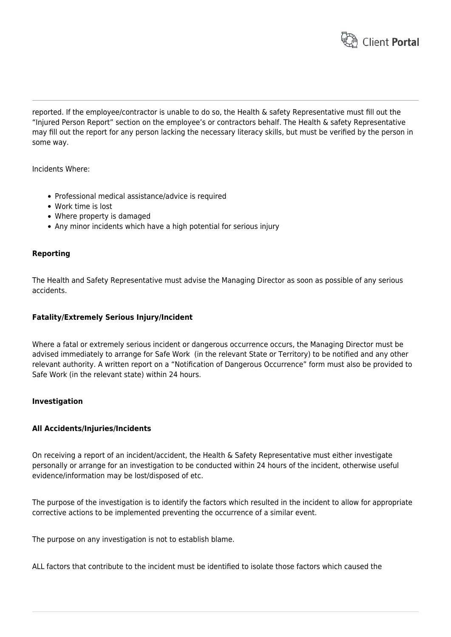

reported. If the employee/contractor is unable to do so, the Health & safety Representative must fill out the "Injured Person Report" section on the employee's or contractors behalf. The Health & safety Representative may fill out the report for any person lacking the necessary literacy skills, but must be verified by the person in some way.

Incidents Where:

- Professional medical assistance/advice is required
- Work time is lost
- Where property is damaged
- Any minor incidents which have a high potential for serious injury

#### **Reporting**

The Health and Safety Representative must advise the Managing Director as soon as possible of any serious accidents.

#### **Fatality/Extremely Serious Injury/Incident**

Where a fatal or extremely serious incident or dangerous occurrence occurs, the Managing Director must be advised immediately to arrange for Safe Work (in the relevant State or Territory) to be notified and any other relevant authority. A written report on a "Notification of Dangerous Occurrence" form must also be provided to Safe Work (in the relevant state) within 24 hours.

#### **Investigation**

#### **All Accidents/Injuries/Incidents**

On receiving a report of an incident/accident, the Health & Safety Representative must either investigate personally or arrange for an investigation to be conducted within 24 hours of the incident, otherwise useful evidence/information may be lost/disposed of etc.

The purpose of the investigation is to identify the factors which resulted in the incident to allow for appropriate corrective actions to be implemented preventing the occurrence of a similar event.

The purpose on any investigation is not to establish blame.

ALL factors that contribute to the incident must be identified to isolate those factors which caused the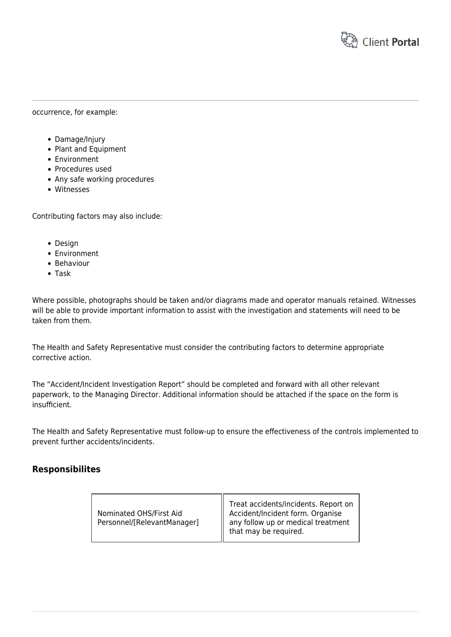

#### occurrence, for example:

- Damage/Injury
- Plant and Equipment
- Environment
- Procedures used
- Any safe working procedures
- Witnesses

Contributing factors may also include:

- Design
- Environment
- **•** Behaviour
- Task

Where possible, photographs should be taken and/or diagrams made and operator manuals retained. Witnesses will be able to provide important information to assist with the investigation and statements will need to be taken from them.

The Health and Safety Representative must consider the contributing factors to determine appropriate corrective action.

The "Accident/Incident Investigation Report" should be completed and forward with all other relevant paperwork, to the Managing Director. Additional information should be attached if the space on the form is insufficient.

The Health and Safety Representative must follow-up to ensure the effectiveness of the controls implemented to prevent further accidents/incidents.

### **Responsibilites**

| Nominated OHS/First Aid     | Treat accidents/incidents. Report on<br>Accident/Incident form. Organise<br>any follow up or medical treatment |
|-----------------------------|----------------------------------------------------------------------------------------------------------------|
| Personnel/[RelevantManager] | that may be required.                                                                                          |